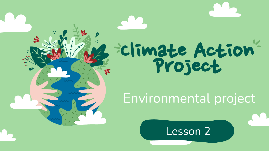# ClimateAction Project

#### Environmental project

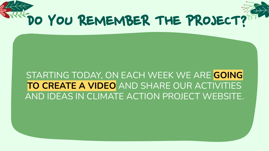

#### STARTING TODAY, ON EACH WEEK WE ARE **GOING TO CREATE A VIDEO** AND SHARE OUR ACTIVITIES AND IDEAS IN CLIMATE ACTION PROJECT WEBSITE.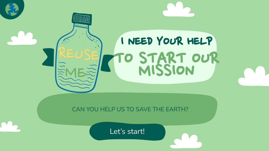### **Millitrud** I NEED YOUR HELP TO START OUR

CAN YOU HELP US TO SAVE THE EARTH?

Let's start!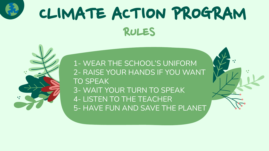

### RULES CLIMATE ACTION PROGRAM

1- WEAR THE SCHOOL'S UNIFORM 2- RAISE YOUR HANDS IF YOU WANT TO SPEAK 3- WAIT YOUR TURN TO SPEAK 4- LISTEN TO THE TEACHER 5- HAVE FUN AND SAVE THE PLANET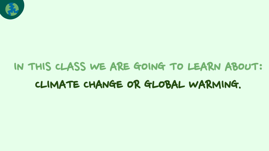

### IN THIS CLASS WE ARE GOING TO LEARN ABOUT: CLIMATE CHANGE OR GLOBAL WARMING.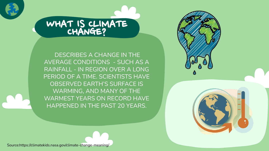

### WHAT IS CLIMATE

 DESCRIBES A CHANGE IN THE AVERAGE CONDITIONS - SUCH AS A RAINFALL - IN REGION OVER A LONG PERIOD OF A TIME. SCIENTISTS HAVE OBSERVED EARTH'S SURFACE IS WARMING, AND MANY OF THE WARMEST YEARS ON RECORD HAVE HAPPENED IN THE PAST 20 YEARS.



Source:https://climatekids.nasa.gov/climate-change-meaning/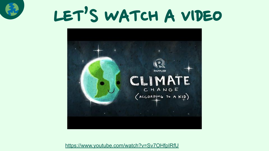

### LET'S WATCH A VIDEO



<https://www.youtube.com/watch?v=Sv7OHfpIRfU>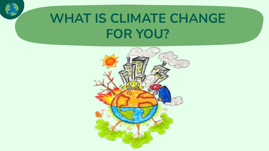### **WHAT IS CLIMATE CHANGE FOR YOU?**

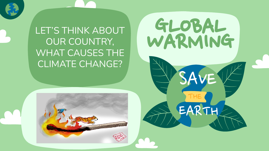LET'S THINK ABOUT (GLOBAL OUR COUNTRY, WHAT CAUSES THE CLIMATE CHANGE?



EARTH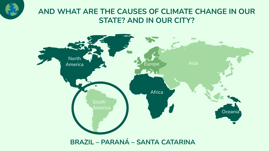

#### **AND WHAT ARE THE CAUSES OF CLIMATE CHANGE IN OUR STATE? AND IN OUR CITY?**

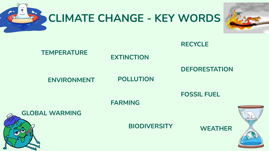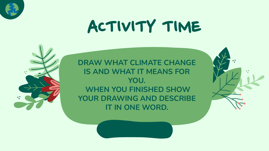

### ACTIVITY TIME



**DRAW WHAT CLIMATE CHANGE IS AND WHAT IT MEANS FOR YOU. WHEN YOU FINISHED SHOW YOUR DRAWING AND DESCRIBE IT IN ONE WORD.**